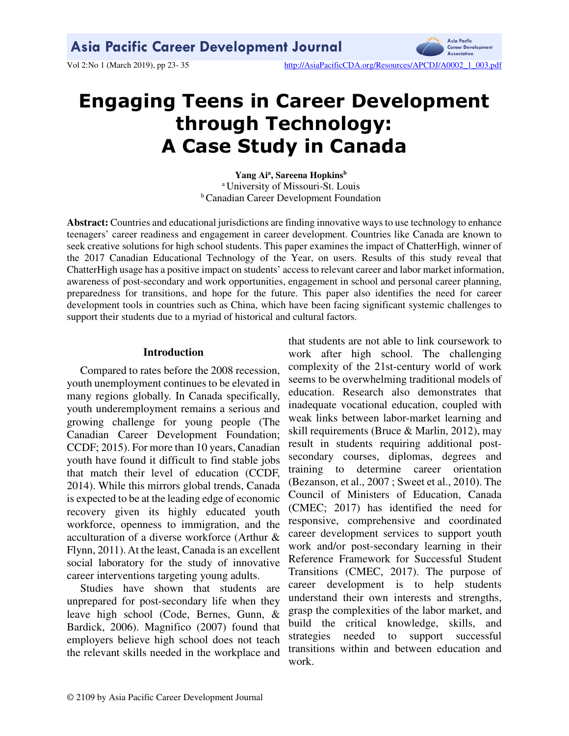

# **Engaging Teens in Career Development through Technology: A Case Study in Canada**

**Yang Ai<sup>a</sup> , Sareena Hopkins<sup>b</sup>** <sup>a</sup> University of Missouri-St. Louis **b** Canadian Career Development Foundation

**Abstract:** Countries and educational jurisdictions are finding innovative ways to use technology to enhance teenagers' career readiness and engagement in career development. Countries like Canada are known to seek creative solutions for high school students. This paper examines the impact of ChatterHigh, winner of the 2017 Canadian Educational Technology of the Year, on users. Results of this study reveal that ChatterHigh usage has a positive impact on students' access to relevant career and labor market information, awareness of post-secondary and work opportunities, engagement in school and personal career planning, preparedness for transitions, and hope for the future. This paper also identifies the need for career development tools in countries such as China, which have been facing significant systemic challenges to support their students due to a myriad of historical and cultural factors.

#### **Introduction**

Compared to rates before the 2008 recession, youth unemployment continues to be elevated in many regions globally. In Canada specifically, youth underemployment remains a serious and growing challenge for young people (The Canadian Career Development Foundation; CCDF; 2015). For more than 10 years, Canadian youth have found it difficult to find stable jobs that match their level of education (CCDF, 2014). While this mirrors global trends, Canada is expected to be at the leading edge of economic recovery given its highly educated youth workforce, openness to immigration, and the acculturation of a diverse workforce (Arthur & Flynn, 2011). At the least, Canada is an excellent social laboratory for the study of innovative career interventions targeting young adults.

Studies have shown that students are unprepared for post-secondary life when they leave high school (Code, Bernes, Gunn, & Bardick, 2006). Magnifico (2007) found that employers believe high school does not teach the relevant skills needed in the workplace and

that students are not able to link coursework to work after high school. The challenging complexity of the 21st-century world of work seems to be overwhelming traditional models of education. Research also demonstrates that inadequate vocational education, coupled with weak links between labor-market learning and skill requirements (Bruce & Marlin, 2012), may result in students requiring additional postsecondary courses, diplomas, degrees and training to determine career orientation (Bezanson, et al., 2007 ; Sweet et al., 2010). The Council of Ministers of Education, Canada (CMEC; 2017) has identified the need for responsive, comprehensive and coordinated career development services to support youth work and/or post-secondary learning in their Reference Framework for Successful Student Transitions (CMEC, 2017). The purpose of career development is to help students understand their own interests and strengths, grasp the complexities of the labor market, and build the critical knowledge, skills, and strategies needed to support successful transitions within and between education and work.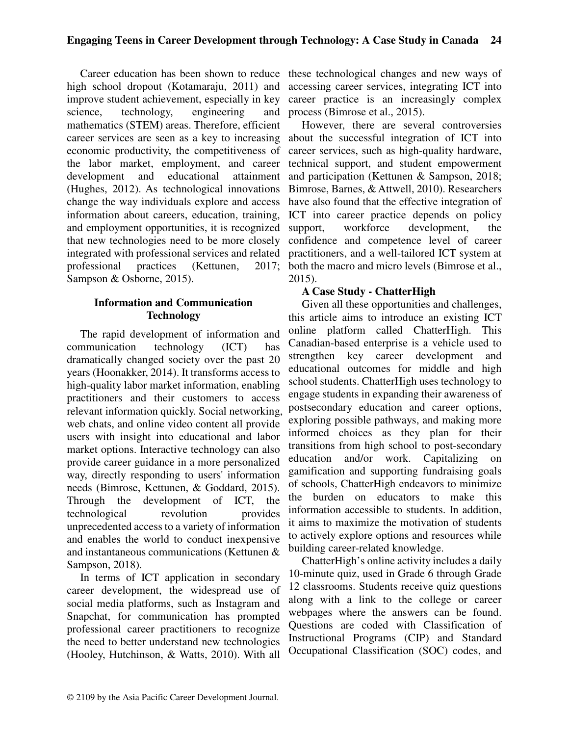high school dropout (Kotamaraju, 2011) and improve student achievement, especially in key science, technology, engineering and mathematics (STEM) areas. Therefore, efficient career services are seen as a key to increasing economic productivity, the competitiveness of the labor market, employment, and career development and educational attainment (Hughes, 2012). As technological innovations change the way individuals explore and access information about careers, education, training, and employment opportunities, it is recognized that new technologies need to be more closely integrated with professional services and related professional practices (Kettunen, 2017; Sampson & Osborne, 2015).

# **Information and Communication Technology**

The rapid development of information and communication technology (ICT) has dramatically changed society over the past 20 years (Hoonakker, 2014). It transforms access to high-quality labor market information, enabling practitioners and their customers to access relevant information quickly. Social networking, web chats, and online video content all provide users with insight into educational and labor market options. Interactive technology can also provide career guidance in a more personalized way, directly responding to users' information needs (Bimrose, Kettunen, & Goddard, 2015). Through the development of ICT, the technological revolution provides unprecedented access to a variety of information and enables the world to conduct inexpensive and instantaneous communications (Kettunen & Sampson, 2018).

In terms of ICT application in secondary career development, the widespread use of social media platforms, such as Instagram and Snapchat, for communication has prompted professional career practitioners to recognize the need to better understand new technologies (Hooley, Hutchinson, & Watts, 2010). With all

Career education has been shown to reduce these technological changes and new ways of accessing career services, integrating ICT into career practice is an increasingly complex process (Bimrose et al., 2015).

> However, there are several controversies about the successful integration of ICT into career services, such as high-quality hardware, technical support, and student empowerment and participation (Kettunen & Sampson, 2018; Bimrose, Barnes, & Attwell, 2010). Researchers have also found that the effective integration of ICT into career practice depends on policy support, workforce development, the confidence and competence level of career practitioners, and a well-tailored ICT system at both the macro and micro levels (Bimrose et al., 2015).

# **A Case Study - ChatterHigh**

Given all these opportunities and challenges, this article aims to introduce an existing ICT online platform called ChatterHigh. This Canadian-based enterprise is a vehicle used to strengthen key career development and educational outcomes for middle and high school students. ChatterHigh uses technology to engage students in expanding their awareness of postsecondary education and career options, exploring possible pathways, and making more informed choices as they plan for their transitions from high school to post-secondary education and/or work. Capitalizing on gamification and supporting fundraising goals of schools, ChatterHigh endeavors to minimize the burden on educators to make this information accessible to students. In addition, it aims to maximize the motivation of students to actively explore options and resources while building career-related knowledge.

ChatterHigh's online activity includes a daily 10-minute quiz, used in Grade 6 through Grade 12 classrooms. Students receive quiz questions along with a link to the college or career webpages where the answers can be found. Questions are coded with Classification of Instructional Programs (CIP) and Standard Occupational Classification (SOC) codes, and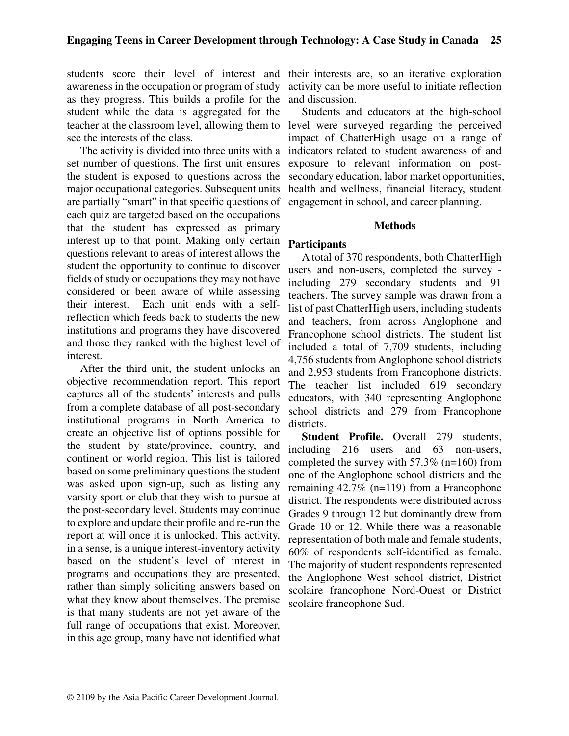awareness in the occupation or program of study as they progress. This builds a profile for the student while the data is aggregated for the teacher at the classroom level, allowing them to see the interests of the class.

The activity is divided into three units with a set number of questions. The first unit ensures the student is exposed to questions across the major occupational categories. Subsequent units are partially "smart" in that specific questions of each quiz are targeted based on the occupations that the student has expressed as primary interest up to that point. Making only certain questions relevant to areas of interest allows the student the opportunity to continue to discover fields of study or occupations they may not have considered or been aware of while assessing their interest. Each unit ends with a selfreflection which feeds back to students the new institutions and programs they have discovered and those they ranked with the highest level of interest.

After the third unit, the student unlocks an objective recommendation report. This report captures all of the students' interests and pulls from a complete database of all post-secondary institutional programs in North America to create an objective list of options possible for the student by state/province, country, and continent or world region. This list is tailored based on some preliminary questions the student was asked upon sign-up, such as listing any varsity sport or club that they wish to pursue at the post-secondary level. Students may continue to explore and update their profile and re-run the report at will once it is unlocked. This activity, in a sense, is a unique interest-inventory activity based on the student's level of interest in programs and occupations they are presented, rather than simply soliciting answers based on what they know about themselves. The premise is that many students are not yet aware of the full range of occupations that exist. Moreover, in this age group, many have not identified what

students score their level of interest and their interests are, so an iterative exploration activity can be more useful to initiate reflection and discussion.

> Students and educators at the high-school level were surveyed regarding the perceived impact of ChatterHigh usage on a range of indicators related to student awareness of and exposure to relevant information on postsecondary education, labor market opportunities, health and wellness, financial literacy, student engagement in school, and career planning.

#### **Methods**

#### **Participants**

A total of 370 respondents, both ChatterHigh users and non-users, completed the survey including 279 secondary students and 91 teachers. The survey sample was drawn from a list of past ChatterHigh users, including students and teachers, from across Anglophone and Francophone school districts. The student list included a total of 7,709 students, including 4,756 students from Anglophone school districts and 2,953 students from Francophone districts. The teacher list included 619 secondary educators, with 340 representing Anglophone school districts and 279 from Francophone districts.

**Student Profile.** Overall 279 students, including 216 users and 63 non-users, completed the survey with 57.3% (n=160) from one of the Anglophone school districts and the remaining 42.7% (n=119) from a Francophone district. The respondents were distributed across Grades 9 through 12 but dominantly drew from Grade 10 or 12. While there was a reasonable representation of both male and female students, 60% of respondents self-identified as female. The majority of student respondents represented the Anglophone West school district, District scolaire francophone Nord-Ouest or District scolaire francophone Sud.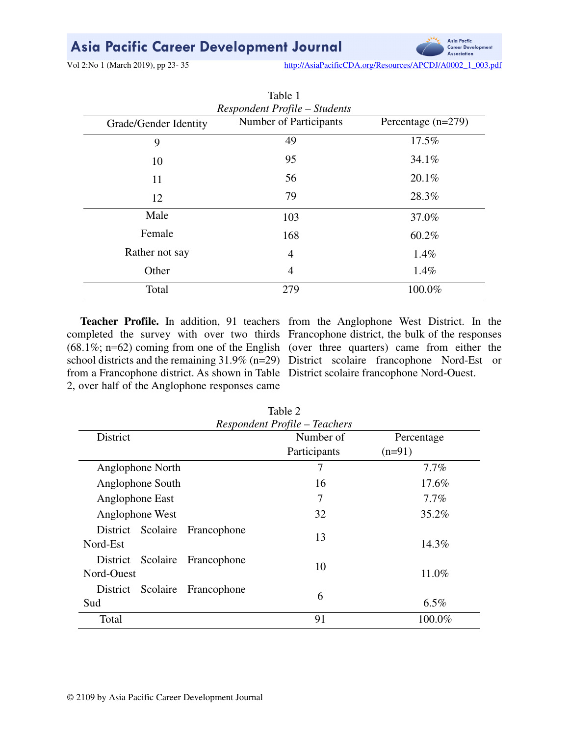# Asia Pacific Career Development Journal

Vol 2:No 1 (March 2019), pp 23-35 http://AsiaPacificCDA.org/Resources/APCDJ/A0002\_1\_003.pdf

Asia Pacfic

Career Development Associatio

| Table 1                                                                                                         |                |         |  |  |  |
|-----------------------------------------------------------------------------------------------------------------|----------------|---------|--|--|--|
| <b>Respondent Profile – Students</b><br>Number of Participants<br>Percentage $(n=279)$<br>Grade/Gender Identity |                |         |  |  |  |
| 9                                                                                                               | 49             | 17.5%   |  |  |  |
| 10                                                                                                              | 95             | 34.1%   |  |  |  |
| 11                                                                                                              | 56             | 20.1%   |  |  |  |
| 12                                                                                                              | 79             | 28.3%   |  |  |  |
| Male                                                                                                            | 103            | 37.0%   |  |  |  |
| Female                                                                                                          | 168            | 60.2%   |  |  |  |
| Rather not say                                                                                                  | 4              | $1.4\%$ |  |  |  |
| Other                                                                                                           | $\overline{4}$ | $1.4\%$ |  |  |  |
| Total                                                                                                           | 279            | 100.0%  |  |  |  |

from a Francophone district. As shown in Table District scolaire francophone Nord-Ouest. 2, over half of the Anglophone responses came

**Teacher Profile.** In addition, 91 teachers from the Anglophone West District. In the completed the survey with over two thirds Francophone district, the bulk of the responses (68.1%; n=62) coming from one of the English (over three quarters) came from either the school districts and the remaining 31.9% (n=29) District scolaire francophone Nord-Est or

| Table 2<br>Respondent Profile - Teachers          |                           |                        |  |  |
|---------------------------------------------------|---------------------------|------------------------|--|--|
| <b>District</b>                                   | Number of<br>Participants | Percentage<br>$(n=91)$ |  |  |
| Anglophone North                                  | 7                         | $7.7\%$                |  |  |
| Anglophone South                                  | 16                        | 17.6%                  |  |  |
| Anglophone East                                   | 7                         | $7.7\%$                |  |  |
| Anglophone West                                   | 32                        | 35.2%                  |  |  |
| District Scolaire Francophone<br>Nord-Est         | 13                        | 14.3%                  |  |  |
| Scolaire<br>Francophone<br>District<br>Nord-Ouest | 10                        | 11.0%                  |  |  |
| District Scolaire<br>Francophone<br>Sud           | 6                         | $6.5\%$                |  |  |
| Total                                             | 91                        | 100.0%                 |  |  |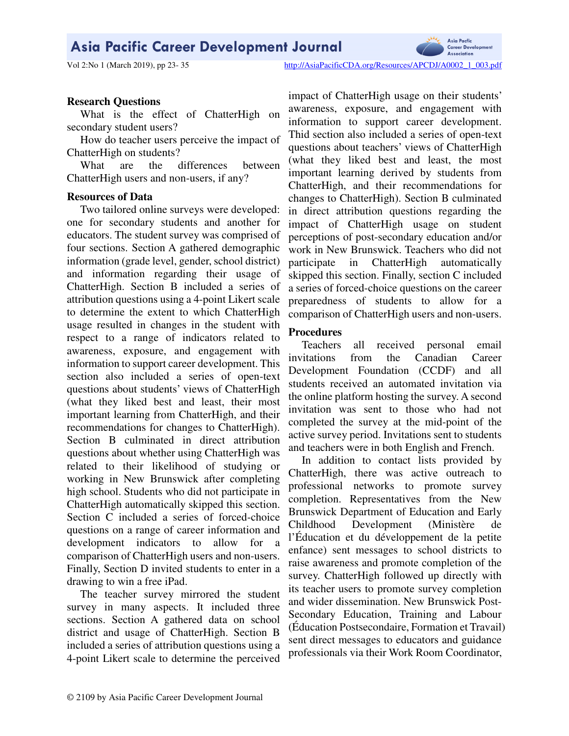# Asia Pacific Career Development Journal



Asia Pacfic

Career Development

#### **Research Questions**

What is the effect of ChatterHigh on secondary student users?

How do teacher users perceive the impact of ChatterHigh on students?

What are the differences between ChatterHigh users and non-users, if any?

#### **Resources of Data**

Two tailored online surveys were developed: one for secondary students and another for educators. The student survey was comprised of four sections. Section A gathered demographic information (grade level, gender, school district) and information regarding their usage of ChatterHigh. Section B included a series of attribution questions using a 4-point Likert scale to determine the extent to which ChatterHigh usage resulted in changes in the student with respect to a range of indicators related to awareness, exposure, and engagement with information to support career development. This section also included a series of open-text questions about students' views of ChatterHigh (what they liked best and least, their most important learning from ChatterHigh, and their recommendations for changes to ChatterHigh). Section B culminated in direct attribution questions about whether using ChatterHigh was related to their likelihood of studying or working in New Brunswick after completing high school. Students who did not participate in ChatterHigh automatically skipped this section. Section C included a series of forced-choice questions on a range of career information and development indicators to allow for a comparison of ChatterHigh users and non-users. Finally, Section D invited students to enter in a drawing to win a free iPad.

The teacher survey mirrored the student survey in many aspects. It included three sections. Section A gathered data on school district and usage of ChatterHigh. Section B included a series of attribution questions using a 4-point Likert scale to determine the perceived

impact of ChatterHigh usage on their students' awareness, exposure, and engagement with information to support career development. Thid section also included a series of open-text questions about teachers' views of ChatterHigh (what they liked best and least, the most important learning derived by students from ChatterHigh, and their recommendations for changes to ChatterHigh). Section B culminated in direct attribution questions regarding the impact of ChatterHigh usage on student perceptions of post-secondary education and/or work in New Brunswick. Teachers who did not participate in ChatterHigh automatically skipped this section. Finally, section C included a series of forced-choice questions on the career preparedness of students to allow for a comparison of ChatterHigh users and non-users.

#### **Procedures**

Teachers all received personal email invitations from the Canadian Career Development Foundation (CCDF) and all students received an automated invitation via the online platform hosting the survey. A second invitation was sent to those who had not completed the survey at the mid-point of the active survey period. Invitations sent to students and teachers were in both English and French.

In addition to contact lists provided by ChatterHigh, there was active outreach to professional networks to promote survey completion. Representatives from the New Brunswick Department of Education and Early Childhood Development (Ministère de l'Éducation et du développement de la petite enfance) sent messages to school districts to raise awareness and promote completion of the survey. ChatterHigh followed up directly with its teacher users to promote survey completion and wider dissemination. New Brunswick Post-Secondary Education, Training and Labour (Éducation Postsecondaire, Formation et Travail) sent direct messages to educators and guidance professionals via their Work Room Coordinator,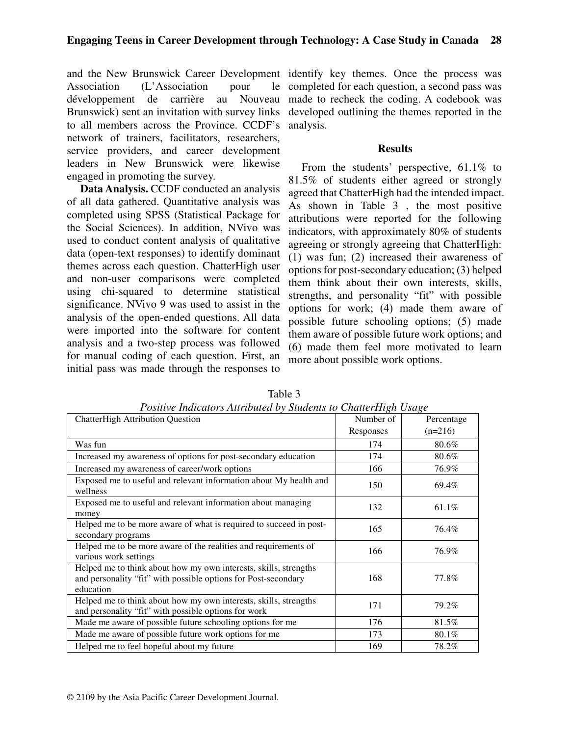Association (L'Association pour le développement de carrière au Nouveau Brunswick) sent an invitation with survey links to all members across the Province. CCDF's analysis. network of trainers, facilitators, researchers, service providers, and career development leaders in New Brunswick were likewise engaged in promoting the survey.

**Data Analysis.** CCDF conducted an analysis of all data gathered. Quantitative analysis was completed using SPSS (Statistical Package for the Social Sciences). In addition, NVivo was used to conduct content analysis of qualitative data (open-text responses) to identify dominant themes across each question. ChatterHigh user and non-user comparisons were completed using chi-squared to determine statistical significance. NVivo 9 was used to assist in the analysis of the open-ended questions. All data were imported into the software for content analysis and a two-step process was followed for manual coding of each question. First, an initial pass was made through the responses to

and the New Brunswick Career Development identify key themes. Once the process was completed for each question, a second pass was made to recheck the coding. A codebook was developed outlining the themes reported in the

#### **Results**

From the students' perspective, 61.1% to 81.5% of students either agreed or strongly agreed that ChatterHigh had the intended impact. As shown in Table 3 , the most positive attributions were reported for the following indicators, with approximately 80% of students agreeing or strongly agreeing that ChatterHigh: (1) was fun; (2) increased their awareness of options for post-secondary education; (3) helped them think about their own interests, skills, strengths, and personality "fit" with possible options for work; (4) made them aware of possible future schooling options; (5) made them aware of possible future work options; and (6) made them feel more motivated to learn more about possible work options.

| I oshive mancalors run loanca by Biaachis to Chameringh Osage<br><b>ChatterHigh Attribution Question</b>                                        | Number of | Percentage |
|-------------------------------------------------------------------------------------------------------------------------------------------------|-----------|------------|
|                                                                                                                                                 | Responses | $(n=216)$  |
| Was fun                                                                                                                                         | 174       | 80.6%      |
| Increased my awareness of options for post-secondary education                                                                                  | 174       | 80.6%      |
| Increased my awareness of career/work options                                                                                                   | 166       | 76.9%      |
| Exposed me to useful and relevant information about My health and<br>wellness                                                                   | 150       | 69.4%      |
| Exposed me to useful and relevant information about managing<br>money                                                                           | 132       | 61.1%      |
| Helped me to be more aware of what is required to succeed in post-<br>secondary programs                                                        | 165       | 76.4%      |
| Helped me to be more aware of the realities and requirements of<br>various work settings                                                        | 166       | 76.9%      |
| Helped me to think about how my own interests, skills, strengths<br>and personality "fit" with possible options for Post-secondary<br>education | 168       | 77.8%      |
| Helped me to think about how my own interests, skills, strengths<br>and personality "fit" with possible options for work                        | 171       | 79.2%      |
| Made me aware of possible future schooling options for me                                                                                       | 176       | 81.5%      |
| Made me aware of possible future work options for me                                                                                            | 173       | 80.1%      |
| Helped me to feel hopeful about my future                                                                                                       | 169       | 78.2%      |

Table 3 *Positive Indicators Attributed by Students to ChatterHigh Usage*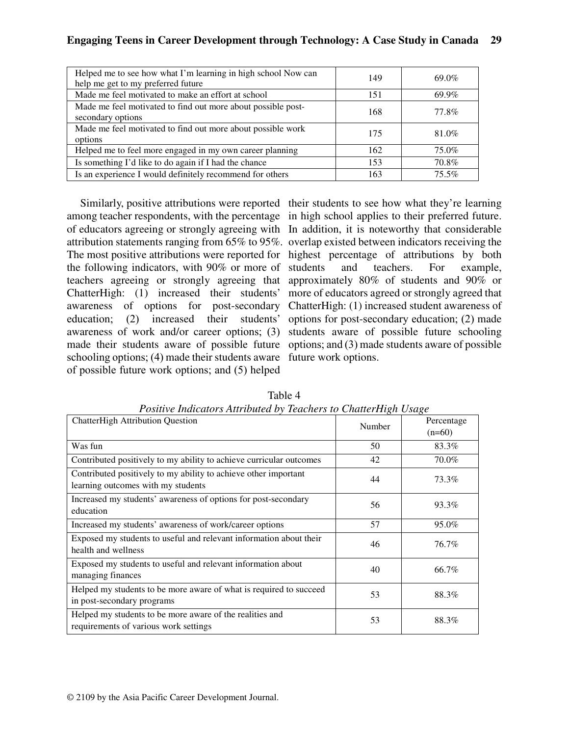| Helped me to see how what I'm learning in high school Now can<br>help me get to my preferred future | 149 | 69.0%    |
|-----------------------------------------------------------------------------------------------------|-----|----------|
| Made me feel motivated to make an effort at school                                                  | 151 | 69.9%    |
| Made me feel motivated to find out more about possible post-<br>secondary options                   | 168 | 77.8%    |
| Made me feel motivated to find out more about possible work<br>options                              | 175 | 81.0%    |
| Helped me to feel more engaged in my own career planning                                            | 162 | 75.0%    |
| Is something I'd like to do again if I had the chance                                               | 153 | 70.8%    |
| Is an experience I would definitely recommend for others                                            | 163 | $75.5\%$ |

among teacher respondents, with the percentage in high school applies to their preferred future. of educators agreeing or strongly agreeing with In addition, it is noteworthy that considerable attribution statements ranging from 65% to 95%. overlap existed between indicators receiving the The most positive attributions were reported for highest percentage of attributions by both the following indicators, with 90% or more of teachers agreeing or strongly agreeing that approximately 80% of students and 90% or ChatterHigh: (1) increased their students' awareness of options for post-secondary education; (2) increased their students' awareness of work and/or career options; (3) made their students aware of possible future schooling options; (4) made their students aware future work options. of possible future work options; and (5) helped

Similarly, positive attributions were reported their students to see how what they're learning and teachers. For example, more of educators agreed or strongly agreed that ChatterHigh: (1) increased student awareness of options for post-secondary education; (2) made students aware of possible future schooling options; and (3) made students aware of possible

| <i>arre mancino romano e medi o que concreto no chanciarizar coaze</i><br><b>ChatterHigh Attribution Question</b> | Number | Percentage<br>$(n=60)$ |
|-------------------------------------------------------------------------------------------------------------------|--------|------------------------|
| Was fun                                                                                                           | 50     | 83.3%                  |
| Contributed positively to my ability to achieve curricular outcomes                                               | 42     | 70.0%                  |
| Contributed positively to my ability to achieve other important<br>learning outcomes with my students             | 44     | 73.3%                  |
| Increased my students' awareness of options for post-secondary<br>education                                       | 56     | 93.3%                  |
| Increased my students' awareness of work/career options                                                           | 57     | 95.0%                  |
| Exposed my students to useful and relevant information about their<br>health and wellness                         | 46     | 76.7%                  |
| Exposed my students to useful and relevant information about<br>managing finances                                 | 40     | 66.7%                  |
| Helped my students to be more aware of what is required to succeed<br>in post-secondary programs                  | 53     | 88.3%                  |
| Helped my students to be more aware of the realities and<br>requirements of various work settings                 | 53     | 88.3%                  |

Table 4 *Positive Indicators Attributed by Teachers to ChatterHigh Usage*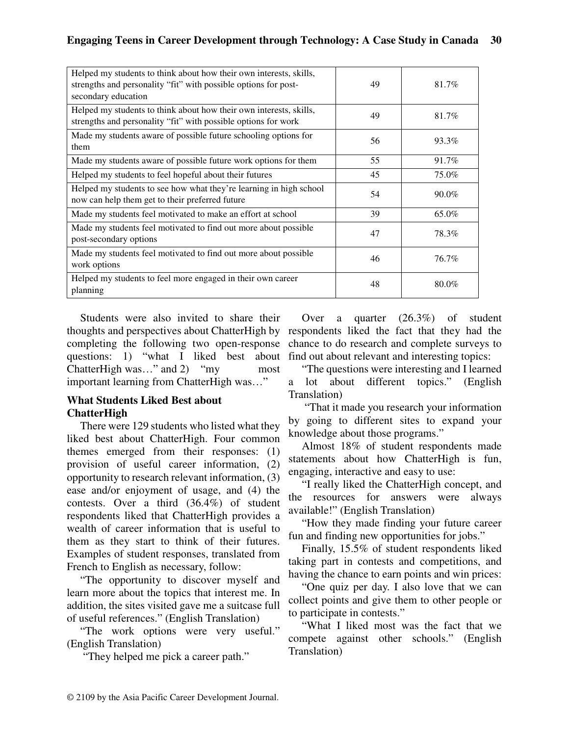| Helped my students to think about how their own interests, skills,<br>strengths and personality "fit" with possible options for post-<br>secondary education | 49 | 81.7% |
|--------------------------------------------------------------------------------------------------------------------------------------------------------------|----|-------|
| Helped my students to think about how their own interests, skills,<br>strengths and personality "fit" with possible options for work                         | 49 | 81.7% |
| Made my students aware of possible future schooling options for<br>them                                                                                      | 56 | 93.3% |
| Made my students aware of possible future work options for them                                                                                              | 55 | 91.7% |
| Helped my students to feel hopeful about their futures                                                                                                       | 45 | 75.0% |
| Helped my students to see how what they're learning in high school<br>now can help them get to their preferred future                                        | 54 | 90.0% |
| Made my students feel motivated to make an effort at school                                                                                                  | 39 | 65.0% |
| Made my students feel motivated to find out more about possible<br>post-secondary options                                                                    | 47 | 78.3% |
| Made my students feel motivated to find out more about possible<br>work options                                                                              | 46 | 76.7% |
| Helped my students to feel more engaged in their own career<br>planning                                                                                      | 48 | 80.0% |

Students were also invited to share their thoughts and perspectives about ChatterHigh by respondents liked the fact that they had the completing the following two open-response questions: 1) "what I liked best about ChatterHigh was…" and 2) "my most important learning from ChatterHigh was…"

# **What Students Liked Best about ChatterHigh**

There were 129 students who listed what they liked best about ChatterHigh. Four common themes emerged from their responses: (1) provision of useful career information, (2) opportunity to research relevant information, (3) ease and/or enjoyment of usage, and (4) the contests. Over a third (36.4%) of student respondents liked that ChatterHigh provides a wealth of career information that is useful to them as they start to think of their futures. Examples of student responses, translated from French to English as necessary, follow:

"The opportunity to discover myself and learn more about the topics that interest me. In addition, the sites visited gave me a suitcase full of useful references." (English Translation)

"The work options were very useful." (English Translation)

"They helped me pick a career path."

Over a quarter (26.3%) of student chance to do research and complete surveys to find out about relevant and interesting topics:

"The questions were interesting and I learned a lot about different topics." (English Translation)

 "That it made you research your information by going to different sites to expand your knowledge about those programs."

Almost 18% of student respondents made statements about how ChatterHigh is fun, engaging, interactive and easy to use:

"I really liked the ChatterHigh concept, and the resources for answers were always available!" (English Translation)

"How they made finding your future career fun and finding new opportunities for jobs."

Finally, 15.5% of student respondents liked taking part in contests and competitions, and having the chance to earn points and win prices:

"One quiz per day. I also love that we can collect points and give them to other people or to participate in contests."

"What I liked most was the fact that we compete against other schools." (English Translation)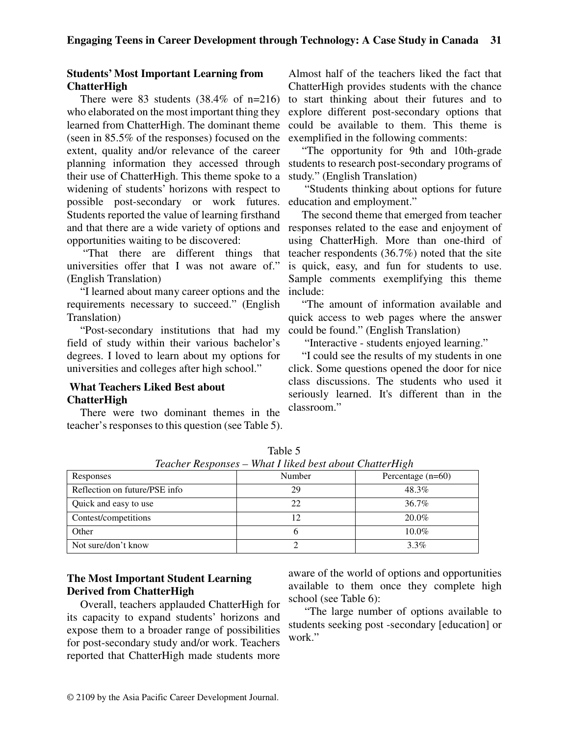#### **Students' Most Important Learning from ChatterHigh**

There were 83 students  $(38.4\% \text{ of } n=216)$ who elaborated on the most important thing they learned from ChatterHigh. The dominant theme (seen in 85.5% of the responses) focused on the extent, quality and/or relevance of the career their use of ChatterHigh. This theme spoke to a widening of students' horizons with respect to possible post-secondary or work futures. Students reported the value of learning firsthand and that there are a wide variety of options and responses related to the ease and enjoyment of opportunities waiting to be discovered:

 "That there are different things that universities offer that I was not aware of." (English Translation)

"I learned about many career options and the requirements necessary to succeed." (English Translation)

"Post-secondary institutions that had my field of study within their various bachelor's degrees. I loved to learn about my options for universities and colleges after high school."

# **What Teachers Liked Best about ChatterHigh**

There were two dominant themes in the teacher's responses to this question (see Table 5).

Almost half of the teachers liked the fact that ChatterHigh provides students with the chance to start thinking about their futures and to explore different post-secondary options that could be available to them. This theme is exemplified in the following comments:

planning information they accessed through students to research post-secondary programs of "The opportunity for 9th and 10th-grade study." (English Translation)

> "Students thinking about options for future education and employment."

> The second theme that emerged from teacher using ChatterHigh. More than one-third of teacher respondents (36.7%) noted that the site is quick, easy, and fun for students to use. Sample comments exemplifying this theme include:

> "The amount of information available and quick access to web pages where the answer could be found." (English Translation)

"Interactive - students enjoyed learning."

"I could see the results of my students in one click. Some questions opened the door for nice class discussions. The students who used it seriously learned. It's different than in the classroom."

| Teacher Responses – what I tiked best doodt Chatterfitten |        |                     |  |  |
|-----------------------------------------------------------|--------|---------------------|--|--|
| Responses                                                 | Number | Percentage $(n=60)$ |  |  |
| Reflection on future/PSE info                             | 29     | 48.3%               |  |  |
| Quick and easy to use                                     | 22     | 36.7%               |  |  |
| Contest/competitions                                      |        | 20.0%               |  |  |
| Other                                                     |        | $10.0\%$            |  |  |
| Not sure/don't know                                       |        | $3.3\%$             |  |  |

Table 5 *Teacher Responses – What I liked best about ChatterHigh* 

# **The Most Important Student Learning Derived from ChatterHigh**

Overall, teachers applauded ChatterHigh for its capacity to expand students' horizons and expose them to a broader range of possibilities for post-secondary study and/or work. Teachers reported that ChatterHigh made students more aware of the world of options and opportunities available to them once they complete high school (see Table 6):

 "The large number of options available to students seeking post -secondary [education] or work."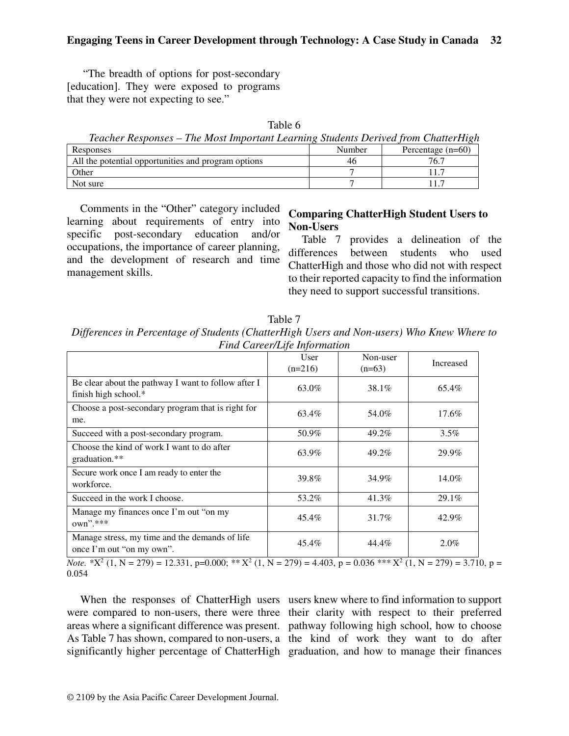"The breadth of options for post-secondary [education]. They were exposed to programs that they were not expecting to see."

| able |  |
|------|--|
|------|--|

| Teacher Responses – The Most Important Learning Students Derived from ChatterHigh |  |  |
|-----------------------------------------------------------------------------------|--|--|
|-----------------------------------------------------------------------------------|--|--|

| Responses                                           | Number | Percentage $(n=60)$ |
|-----------------------------------------------------|--------|---------------------|
| All the potential opportunities and program options | 46     | 76.7                |
| Other                                               |        |                     |
| Not sure                                            |        |                     |

Comments in the "Other" category included learning about requirements of entry into specific post-secondary education and/or occupations, the importance of career planning, and the development of research and time management skills.

#### **Comparing ChatterHigh Student Users to Non-Users**

Table 7 provides a delineation of the differences between students who used ChatterHigh and those who did not with respect to their reported capacity to find the information they need to support successful transitions.

Table 7 *Differences in Percentage of Students (ChatterHigh Users and Non-users) Who Knew Where to Find Career/Life Information* 

|                                                                             | User<br>$(n=216)$ | Non-user<br>$(n=63)$ | Increased |
|-----------------------------------------------------------------------------|-------------------|----------------------|-----------|
| Be clear about the pathway I want to follow after I<br>finish high school.* | 63.0%             | 38.1%                | 65.4%     |
| Choose a post-secondary program that is right for<br>me.                    | 63.4%             | 54.0%                | 17.6%     |
| Succeed with a post-secondary program.                                      | 50.9%             | 49.2%                | $3.5\%$   |
| Choose the kind of work I want to do after<br>graduation.**                 | 63.9%             | 49.2%                | 29.9%     |
| Secure work once I am ready to enter the<br>workforce.                      | 39.8%             | 34.9%                | 14.0%     |
| Succeed in the work I choose.                                               | 53.2%             | 41.3%                | 29.1%     |
| Manage my finances once I'm out "on my<br>$own$ ".***                       | 45.4%             | 31.7%                | 42.9%     |
| Manage stress, my time and the demands of life<br>once I'm out "on my own". | 45.4%             | 44.4%                | 2.0%      |

*Note.*  $X^2$  (1, N = 279) = 12.331, p=0.000; \*\*  $X^2$  (1, N = 279) = 4.403, p = 0.036 \*\*\*  $X^2$  (1, N = 279) = 3.710, p = 0.054

When the responses of ChatterHigh users users knew where to find information to support were compared to non-users, there were three their clarity with respect to their preferred areas where a significant difference was present. pathway following high school, how to choose As Table 7 has shown, compared to non-users, a the kind of work they want to do after significantly higher percentage of ChatterHigh graduation, and how to manage their finances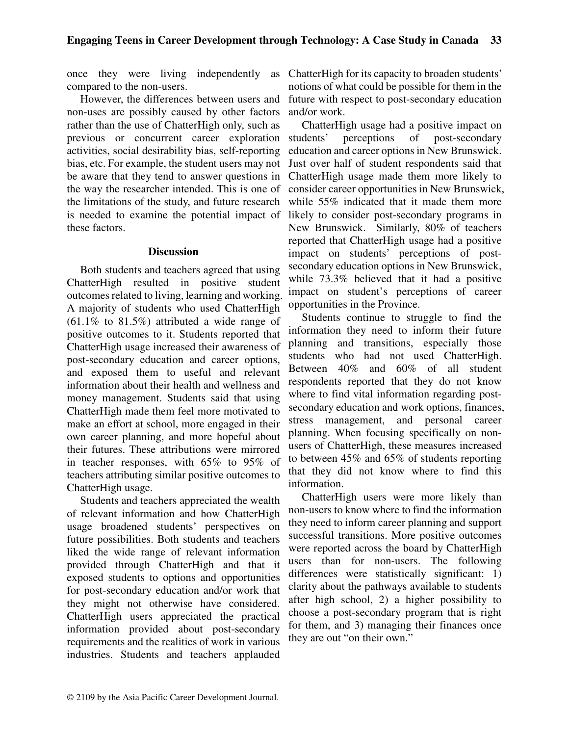compared to the non-users.

However, the differences between users and non-uses are possibly caused by other factors rather than the use of ChatterHigh only, such as previous or concurrent career exploration activities, social desirability bias, self-reporting bias, etc. For example, the student users may not be aware that they tend to answer questions in the way the researcher intended. This is one of the limitations of the study, and future research is needed to examine the potential impact of these factors.

#### **Discussion**

Both students and teachers agreed that using ChatterHigh resulted in positive student outcomes related to living, learning and working. A majority of students who used ChatterHigh (61.1% to 81.5%) attributed a wide range of positive outcomes to it. Students reported that ChatterHigh usage increased their awareness of post-secondary education and career options, and exposed them to useful and relevant information about their health and wellness and money management. Students said that using ChatterHigh made them feel more motivated to make an effort at school, more engaged in their own career planning, and more hopeful about their futures. These attributions were mirrored in teacher responses, with 65% to 95% of teachers attributing similar positive outcomes to ChatterHigh usage.

Students and teachers appreciated the wealth of relevant information and how ChatterHigh usage broadened students' perspectives on future possibilities. Both students and teachers liked the wide range of relevant information provided through ChatterHigh and that it exposed students to options and opportunities for post-secondary education and/or work that they might not otherwise have considered. ChatterHigh users appreciated the practical information provided about post-secondary requirements and the realities of work in various industries. Students and teachers applauded

once they were living independently as ChatterHigh for its capacity to broaden students' notions of what could be possible for them in the future with respect to post-secondary education and/or work.

> ChatterHigh usage had a positive impact on students' perceptions of post-secondary education and career options in New Brunswick. Just over half of student respondents said that ChatterHigh usage made them more likely to consider career opportunities in New Brunswick, while 55% indicated that it made them more likely to consider post-secondary programs in New Brunswick. Similarly, 80% of teachers reported that ChatterHigh usage had a positive impact on students' perceptions of postsecondary education options in New Brunswick, while 73.3% believed that it had a positive impact on student's perceptions of career opportunities in the Province.

> Students continue to struggle to find the information they need to inform their future planning and transitions, especially those students who had not used ChatterHigh. Between 40% and 60% of all student respondents reported that they do not know where to find vital information regarding postsecondary education and work options, finances, stress management, and personal career planning. When focusing specifically on nonusers of ChatterHigh, these measures increased to between 45% and 65% of students reporting that they did not know where to find this information.

> ChatterHigh users were more likely than non-users to know where to find the information they need to inform career planning and support successful transitions. More positive outcomes were reported across the board by ChatterHigh users than for non-users. The following differences were statistically significant: 1) clarity about the pathways available to students after high school, 2) a higher possibility to choose a post-secondary program that is right for them, and 3) managing their finances once they are out "on their own."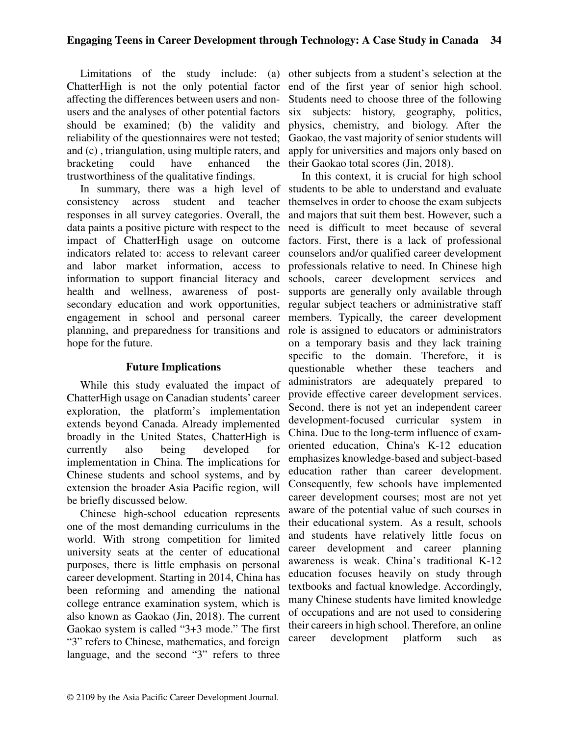ChatterHigh is not the only potential factor affecting the differences between users and nonusers and the analyses of other potential factors should be examined; (b) the validity and reliability of the questionnaires were not tested; and (c) , triangulation, using multiple raters, and bracketing could have enhanced trustworthiness of the qualitative findings.

In summary, there was a high level of consistency across student and teacher responses in all survey categories. Overall, the data paints a positive picture with respect to the impact of ChatterHigh usage on outcome indicators related to: access to relevant career and labor market information, access to information to support financial literacy and health and wellness, awareness of postsecondary education and work opportunities, engagement in school and personal career planning, and preparedness for transitions and hope for the future.

#### **Future Implications**

While this study evaluated the impact of ChatterHigh usage on Canadian students' career exploration, the platform's implementation extends beyond Canada. Already implemented broadly in the United States, ChatterHigh is currently also being developed for implementation in China. The implications for Chinese students and school systems, and by extension the broader Asia Pacific region, will be briefly discussed below.

Chinese high-school education represents one of the most demanding curriculums in the world. With strong competition for limited university seats at the center of educational purposes, there is little emphasis on personal career development. Starting in 2014, China has been reforming and amending the national college entrance examination system, which is also known as Gaokao (Jin, 2018). The current Gaokao system is called "3+3 mode." The first "3" refers to Chinese, mathematics, and foreign language, and the second "3" refers to three

Limitations of the study include: (a) other subjects from a student's selection at the end of the first year of senior high school. Students need to choose three of the following six subjects: history, geography, politics, physics, chemistry, and biology. After the Gaokao, the vast majority of senior students will apply for universities and majors only based on the their Gaokao total scores (Jin, 2018).

> In this context, it is crucial for high school students to be able to understand and evaluate themselves in order to choose the exam subjects and majors that suit them best. However, such a need is difficult to meet because of several factors. First, there is a lack of professional counselors and/or qualified career development professionals relative to need. In Chinese high schools, career development services and supports are generally only available through regular subject teachers or administrative staff members. Typically, the career development role is assigned to educators or administrators on a temporary basis and they lack training specific to the domain. Therefore, it is questionable whether these teachers and administrators are adequately prepared to provide effective career development services. Second, there is not yet an independent career development-focused curricular system in China. Due to the long-term influence of examoriented education, China's K-12 education emphasizes knowledge-based and subject-based education rather than career development. Consequently, few schools have implemented career development courses; most are not yet aware of the potential value of such courses in their educational system. As a result, schools and students have relatively little focus on career development and career planning awareness is weak. China's traditional K-12 education focuses heavily on study through textbooks and factual knowledge. Accordingly, many Chinese students have limited knowledge of occupations and are not used to considering their careers in high school. Therefore, an online career development platform such as